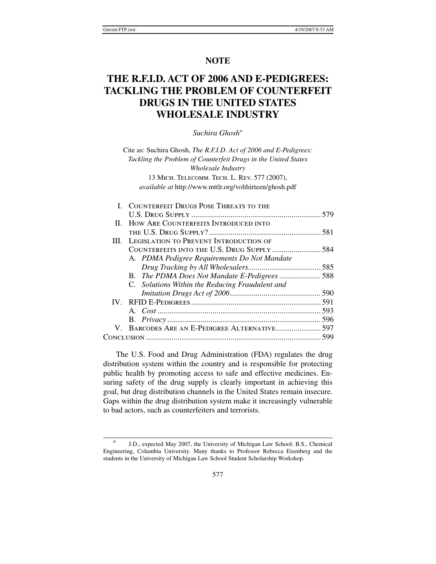# **NOTE**

# **THE R.F.I.D. ACT OF 2006 AND E-PEDIGREES: TACKLING THE PROBLEM OF COUNTERFEIT DRUGS IN THE UNITED STATES WHOLESALE INDUSTRY**

# *Suchira Ghosh*\*

Cite as: Suchira Ghosh, *The R.F.I.D. Act of 2006 and E-Pedigrees: Tackling the Problem of Counterfeit Drugs in the United States Wholesale Industry* 13 Mich. Telecomm. Tech. L. Rev. 577 (2007), *available at* http://www.mttlr.org/volthirteen/ghosh.pdf

| I. COUNTERFEIT DRUGS POSE THREATS TO THE           |  |
|----------------------------------------------------|--|
|                                                    |  |
| II. HOW ARE COUNTERFEITS INTRODUCED INTO           |  |
|                                                    |  |
| <b>III. LEGISLATION TO PREVENT INTRODUCTION OF</b> |  |
| COUNTERFEITS INTO THE U.S. DRUG SUPPLY 584         |  |
| A. PDMA Pedigree Requirements Do Not Mandate       |  |
|                                                    |  |
| B. The PDMA Does Not Mandate E-Pedigrees588        |  |
| C. Solutions Within the Reducing Fraudulent and    |  |
|                                                    |  |
|                                                    |  |
|                                                    |  |
|                                                    |  |
| V. BARCODES ARE AN E-PEDIGREE ALTERNATIVE 597      |  |
|                                                    |  |
|                                                    |  |

The U.S. Food and Drug Administration (FDA) regulates the drug distribution system within the country and is responsible for protecting public health by promoting access to safe and effective medicines. Ensuring safety of the drug supply is clearly important in achieving this goal, but drug distribution channels in the United States remain insecure. Gaps within the drug distribution system make it increasingly vulnerable to bad actors, such as counterfeiters and terrorists.

 <sup>\*</sup> J.D., expected May 2007, the University of Michigan Law School; B.S., Chemical Engineering, Columbia University. Many thanks to Professor Rebecca Eisenberg and the students in the University of Michigan Law School Student Scholarship Workshop.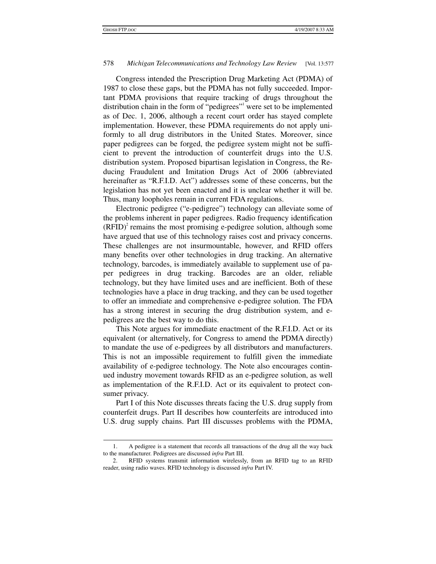1

### 578 *Michigan Telecommunications and Technology Law Review* [Vol. 13:577

Congress intended the Prescription Drug Marketing Act (PDMA) of 1987 to close these gaps, but the PDMA has not fully succeeded. Important PDMA provisions that require tracking of drugs throughout the distribution chain in the form of "pedigrees"<sup>1</sup> were set to be implemented as of Dec. 1, 2006, although a recent court order has stayed complete implementation. However, these PDMA requirements do not apply uniformly to all drug distributors in the United States. Moreover, since paper pedigrees can be forged, the pedigree system might not be sufficient to prevent the introduction of counterfeit drugs into the U.S. distribution system. Proposed bipartisan legislation in Congress, the Reducing Fraudulent and Imitation Drugs Act of 2006 (abbreviated hereinafter as "R.F.I.D. Act") addresses some of these concerns, but the legislation has not yet been enacted and it is unclear whether it will be. Thus, many loopholes remain in current FDA regulations.

Electronic pedigree ("e-pedigree") technology can alleviate some of the problems inherent in paper pedigrees. Radio frequency identification  $(RFID)<sup>2</sup>$  remains the most promising e-pedigree solution, although some have argued that use of this technology raises cost and privacy concerns. These challenges are not insurmountable, however, and RFID offers many benefits over other technologies in drug tracking. An alternative technology, barcodes, is immediately available to supplement use of paper pedigrees in drug tracking. Barcodes are an older, reliable technology, but they have limited uses and are inefficient. Both of these technologies have a place in drug tracking, and they can be used together to offer an immediate and comprehensive e-pedigree solution. The FDA has a strong interest in securing the drug distribution system, and epedigrees are the best way to do this.

This Note argues for immediate enactment of the R.F.I.D. Act or its equivalent (or alternatively, for Congress to amend the PDMA directly) to mandate the use of e-pedigrees by all distributors and manufacturers. This is not an impossible requirement to fulfill given the immediate availability of e-pedigree technology. The Note also encourages continued industry movement towards RFID as an e-pedigree solution, as well as implementation of the R.F.I.D. Act or its equivalent to protect consumer privacy.

Part I of this Note discusses threats facing the U.S. drug supply from counterfeit drugs. Part II describes how counterfeits are introduced into U.S. drug supply chains. Part III discusses problems with the PDMA,

 <sup>1.</sup> A pedigree is a statement that records all transactions of the drug all the way back to the manufacturer. Pedigrees are discussed *infra* Part III.

 <sup>2.</sup> RFID systems transmit information wirelessly, from an RFID tag to an RFID reader, using radio waves. RFID technology is discussed *infra* Part IV.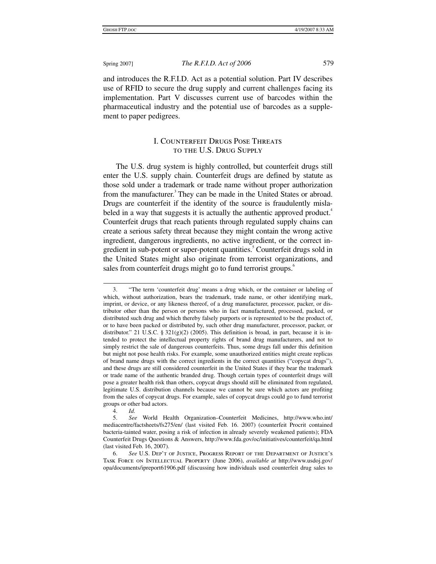and introduces the R.F.I.D. Act as a potential solution. Part IV describes use of RFID to secure the drug supply and current challenges facing its implementation. Part V discusses current use of barcodes within the pharmaceutical industry and the potential use of barcodes as a supplement to paper pedigrees.

# I. Counterfeit Drugs Pose Threats to the U.S. Drug Supply

The U.S. drug system is highly controlled, but counterfeit drugs still enter the U.S. supply chain. Counterfeit drugs are defined by statute as those sold under a trademark or trade name without proper authorization from the manufacturer.<sup>3</sup> They can be made in the United States or abroad. Drugs are counterfeit if the identity of the source is fraudulently mislabeled in a way that suggests it is actually the authentic approved product.<sup>4</sup> Counterfeit drugs that reach patients through regulated supply chains can create a serious safety threat because they might contain the wrong active ingredient, dangerous ingredients, no active ingredient, or the correct ingredient in sub-potent or super-potent quantities.<sup>5</sup> Counterfeit drugs sold in the United States might also originate from terrorist organizations, and sales from counterfeit drugs might go to fund terrorist groups.<sup>6</sup>

4. *Id.*

 $\overline{a}$  3. "The term 'counterfeit drug' means a drug which, or the container or labeling of which, without authorization, bears the trademark, trade name, or other identifying mark, imprint, or device, or any likeness thereof, of a drug manufacturer, processor, packer, or distributor other than the person or persons who in fact manufactured, processed, packed, or distributed such drug and which thereby falsely purports or is represented to be the product of, or to have been packed or distributed by, such other drug manufacturer, processor, packer, or distributor." 21 U.S.C. § 321(g)(2) (2005). This definition is broad, in part, because it is intended to protect the intellectual property rights of brand drug manufacturers, and not to simply restrict the sale of dangerous counterfeits. Thus, some drugs fall under this definition but might not pose health risks. For example, some unauthorized entities might create replicas of brand name drugs with the correct ingredients in the correct quantities ("copycat drugs"), and these drugs are still considered counterfeit in the United States if they bear the trademark or trade name of the authentic branded drug. Though certain types of counterfeit drugs will pose a greater health risk than others, copycat drugs should still be eliminated from regulated, legitimate U.S. distribution channels because we cannot be sure which actors are profiting from the sales of copycat drugs. For example, sales of copycat drugs could go to fund terrorist groups or other bad actors.

 <sup>5.</sup> *See* World Health Organization–Counterfeit Medicines, http://www.who.int/ mediacentre/factsheets/fs275/en/ (last visited Feb. 16. 2007) (counterfeit Procrit contained bacteria-tainted water, posing a risk of infection in already severely weakened patients); FDA Counterfeit Drugs Questions & Answers, http://www.fda.gov/oc/initiatives/counterfeit/qa.html (last visited Feb. 16, 2007).

 <sup>6.</sup> *See* U.S. Dep't of Justice, Progress Report of the Department of Justice's Task Force on Intellectual Property (June 2006), *available at* http://www.usdoj.gov/ opa/documents/ipreport61906.pdf (discussing how individuals used counterfeit drug sales to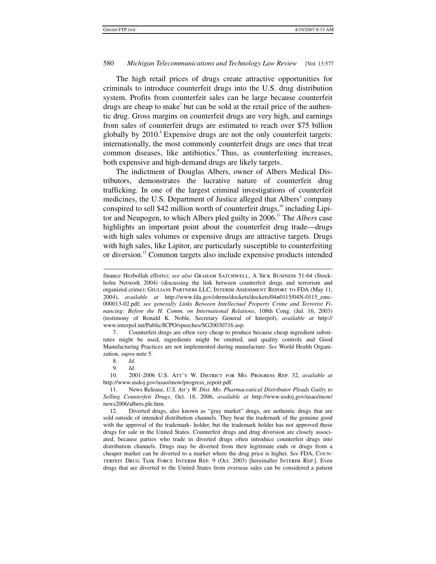The high retail prices of drugs create attractive opportunities for criminals to introduce counterfeit drugs into the U.S. drug distribution system. Profits from counterfeit sales can be large because counterfeit drugs are cheap to make<sup>7</sup> but can be sold at the retail price of the authentic drug. Gross margins on counterfeit drugs are very high, and earnings from sales of counterfeit drugs are estimated to reach over \$75 billion globally by 2010.<sup>8</sup> Expensive drugs are not the only counterfeit targets: internationally, the most commonly counterfeit drugs are ones that treat common diseases, like antibiotics. Thus, as counterfeiting increases, both expensive and high-demand drugs are likely targets.

The indictment of Douglas Albers, owner of Albers Medical Distributors, demonstrates the lucrative nature of counterfeit drug trafficking. In one of the largest criminal investigations of counterfeit medicines, the U.S. Department of Justice alleged that Albers' company conspired to sell \$42 million worth of counterfeit drugs, $^{10}$  including Lipitor and Neupogen, to which Albers pled guilty in 2006.<sup>11</sup> The *Albers* case highlights an important point about the counterfeit drug trade—drugs with high sales volumes or expensive drugs are attractive targets. Drugs with high sales, like Lipitor, are particularly susceptible to counterfeiting or diversion.<sup>12</sup> Common targets also include expensive products intended

 7. Counterfeit drugs are often very cheap to produce because cheap ingredient substitutes might be used, ingredients might be omitted, and quality controls and Good Manufacturing Practices are not implemented during manufacture. *See* World Health Organization, *supra* note 5.

8. *Id.*

9. *Id.*

 10. 2001-2006 U.S. Att'y W. District for Mo. Progress Rep. 32, *available at*  http://www.usdoj.gov/usao/mow/progress\_report.pdf.

 11. News Release, *U.S. Att'y W. Dist. Mo. Pharmaceutical Distributor Pleads Guilty to Selling Counterfeit Drugs*, Oct. 18, 2006, *available at* http://www.usdoj.gov/usao/mow/ news2006/albers.ple.htm.

 12. Diverted drugs, also known as "gray market" drugs, are authentic drugs that are sold outside of intended distribution channels. They bear the trademark of the genuine good with the approval of the trademark- holder, but the trademark holder has not approved these drugs for sale in the United States. Counterfeit drugs and drug diversion are closely associated, because parties who trade in diverted drugs often introduce counterfeit drugs into distribution channels. Drugs may be diverted from their legitimate ends or drugs from a cheaper market can be diverted to a market where the drug price is higher. *See* FDA, Counterfeit Drug Task Force Interim Rep. 9 (Oct. 2003) [hereinafter Interim Rep.]. Even drugs that are diverted to the United States from overseas sales can be considered a patient

<sup>1</sup> finance Hezbollah efforts); *see also* Graham Satchwell, A Sick Business 51-64 (Stockholm Network 2004) (discussing the link between counterfeit drugs and terrorism and organized crime); Giuliani Partners LLC, Interim Assessment Report to FDA (May 11, 2004), *available at* http://www.fda.gov/ohrms/dockets/dockets/04n0115/04N-0115\_emc-000013-02.pdf; *see generally Links Between Intellectual Property Crime and Terrorist Financing: Before the H. Comm. on International Relations*, 108th Cong. (Jul. 16, 2003) (testimony of Ronald K. Noble, Secretary General of Interpol), *available at* http:// www.interpol.int/Public/ICPO/speeches/SG20030716.asp.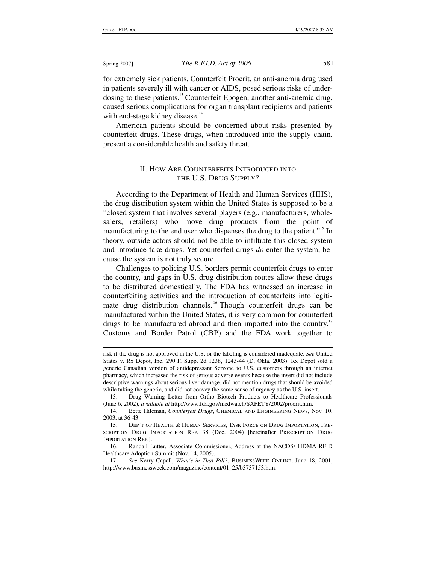for extremely sick patients. Counterfeit Procrit, an anti-anemia drug used in patients severely ill with cancer or AIDS, posed serious risks of underdosing to these patients.<sup>13</sup> Counterfeit Epogen, another anti-anemia drug, caused serious complications for organ transplant recipients and patients with end-stage kidney disease.<sup>14</sup>

American patients should be concerned about risks presented by counterfeit drugs. These drugs, when introduced into the supply chain, present a considerable health and safety threat.

# II. How Are Counterfeits Introduced into the U.S. Drug Supply?

According to the Department of Health and Human Services (HHS), the drug distribution system within the United States is supposed to be a "closed system that involves several players (e.g., manufacturers, wholesalers, retailers) who move drug products from the point of manufacturing to the end user who dispenses the drug to the patient."<sup>15</sup> In theory, outside actors should not be able to infiltrate this closed system and introduce fake drugs. Yet counterfeit drugs *do* enter the system, because the system is not truly secure.

Challenges to policing U.S. borders permit counterfeit drugs to enter the country, and gaps in U.S. drug distribution routes allow these drugs to be distributed domestically. The FDA has witnessed an increase in counterfeiting activities and the introduction of counterfeits into legitimate drug distribution channels.<sup>16</sup> Though counterfeit drugs can be manufactured within the United States, it is very common for counterfeit drugs to be manufactured abroad and then imported into the country.<sup>17</sup> Customs and Border Patrol (CBP) and the FDA work together to

 $\overline{a}$ risk if the drug is not approved in the U.S. or the labeling is considered inadequate. *See* United States v. Rx Depot, Inc. 290 F. Supp. 2d 1238, 1243-44 (D. Okla. 2003). Rx Depot sold a generic Canadian version of antidepressant Serzone to U.S. customers through an internet pharmacy, which increased the risk of serious adverse events because the insert did not include descriptive warnings about serious liver damage, did not mention drugs that should be avoided while taking the generic, and did not convey the same sense of urgency as the U.S. insert.

 <sup>13.</sup> Drug Warning Letter from Ortho Biotech Products to Healthcare Professionals (June 6, 2002), *available at* http://www.fda.gov/medwatch/SAFETY/2002/procrit.htm.

 <sup>14.</sup> Bette Hileman, *Counterfeit Drugs*, Chemical and Engineering News, Nov. 10, 2003, at 36-43.

 <sup>15.</sup> Dep't of Health & Human Services, Task Force on Drug Importation, Prescription Drug Importation Rep. 38 (Dec. 2004) [hereinafter Prescription Drug Importation Rep.].

 <sup>16.</sup> Randall Lutter, Associate Commissioner, Address at the NACDS/ HDMA RFID Healthcare Adoption Summit (Nov. 14, 2005).

 <sup>17.</sup> *See* Kerry Capell, *What's in That Pill?*, BusinessWeek Online, June 18, 2001, http://www.businessweek.com/magazine/content/01\_25/b3737153.htm.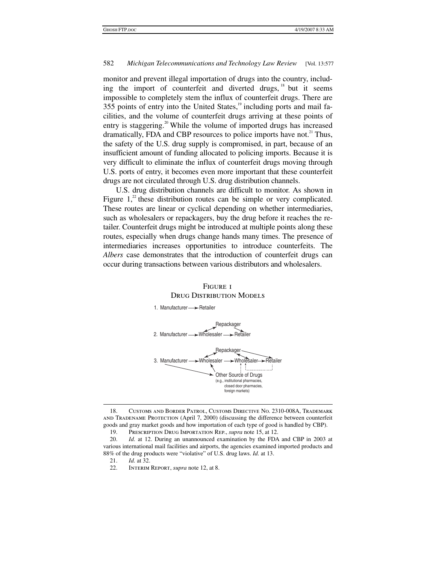monitor and prevent illegal importation of drugs into the country, including the import of counterfeit and diverted drugs, <sup>18</sup> but it seems impossible to completely stem the influx of counterfeit drugs. There are 355 points of entry into the United States, $19$  including ports and mail facilities, and the volume of counterfeit drugs arriving at these points of entry is staggering.<sup>20</sup> While the volume of imported drugs has increased dramatically, FDA and CBP resources to police imports have not.<sup>21</sup> Thus, the safety of the U.S. drug supply is compromised, in part, because of an insufficient amount of funding allocated to policing imports. Because it is very difficult to eliminate the influx of counterfeit drugs moving through U.S. ports of entry, it becomes even more important that these counterfeit drugs are not circulated through U.S. drug distribution channels.

U.S. drug distribution channels are difficult to monitor. As shown in Figure  $1$ ,<sup>22</sup> these distribution routes can be simple or very complicated. These routes are linear or cyclical depending on whether intermediaries, such as wholesalers or repackagers, buy the drug before it reaches the retailer. Counterfeit drugs might be introduced at multiple points along these routes, especially when drugs change hands many times. The presence of intermediaries increases opportunities to introduce counterfeits. The *Albers* case demonstrates that the introduction of counterfeit drugs can occur during transactions between various distributors and wholesalers.



# Figure 1 DRUG DISTRIBUTION MODELS

 $\ddot{\phantom{a}}$ 

 <sup>18.</sup> Customs and Border Patrol, Customs Directive No. 2310-008A, Trademark and Tradename Protection (April 7, 2000) (discussing the difference between counterfeit goods and gray market goods and how importation of each type of good is handled by CBP).

 <sup>19.</sup> Prescription Drug Importation Rep., *supra* note 15, at 12.

 <sup>20.</sup> *Id.* at 12. During an unannounced examination by the FDA and CBP in 2003 at various international mail facilities and airports, the agencies examined imported products and 88% of the drug products were "violative" of U.S. drug laws. *Id.* at 13.

<sup>21.</sup> *Id.* at 32.

 <sup>22.</sup> Interim Report, *supra* note 12, at 8.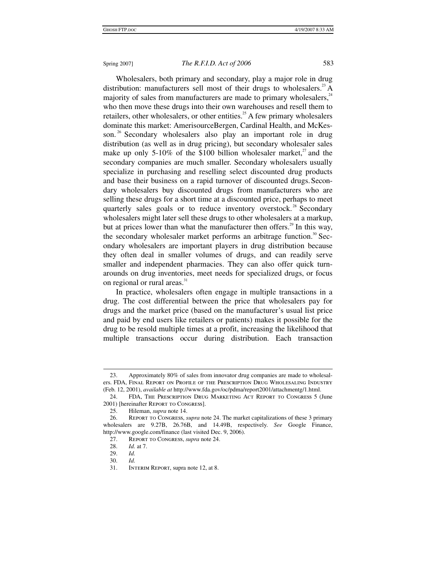Wholesalers, both primary and secondary, play a major role in drug distribution: manufacturers sell most of their drugs to wholesalers.<sup>23</sup> A majority of sales from manufacturers are made to primary wholesalers, $24$ who then move these drugs into their own warehouses and resell them to retailers, other wholesalers, or other entities.<sup>25</sup> A few primary wholesalers dominate this market: AmerisourceBergen, Cardinal Health, and McKesson.<sup>26</sup> Secondary wholesalers also play an important role in drug distribution (as well as in drug pricing), but secondary wholesaler sales make up only 5-10% of the \$100 billion wholesaler market, $^{27}$  and the secondary companies are much smaller. Secondary wholesalers usually specialize in purchasing and reselling select discounted drug products and base their business on a rapid turnover of discounted drugs.Secondary wholesalers buy discounted drugs from manufacturers who are selling these drugs for a short time at a discounted price, perhaps to meet quarterly sales goals or to reduce inventory overstock.<sup>28</sup> Secondary wholesalers might later sell these drugs to other wholesalers at a markup, but at prices lower than what the manufacturer then offers.<sup>29</sup> In this way, the secondary wholesaler market performs an arbitrage function.<sup>30</sup> Secondary wholesalers are important players in drug distribution because they often deal in smaller volumes of drugs, and can readily serve smaller and independent pharmacies. They can also offer quick turnarounds on drug inventories, meet needs for specialized drugs, or focus on regional or rural areas.<sup>31</sup>

In practice, wholesalers often engage in multiple transactions in a drug. The cost differential between the price that wholesalers pay for drugs and the market price (based on the manufacturer's usual list price and paid by end users like retailers or patients) makes it possible for the drug to be resold multiple times at a profit, increasing the likelihood that multiple transactions occur during distribution. Each transaction

 $\overline{a}$  23. Approximately 80% of sales from innovator drug companies are made to wholesalers. FDA, Final Report on Profile of the Prescription Drug Wholesaling Industry (Feb. 12, 2001), *available at* http://www.fda.gov/oc/pdma/report2001/attachmentg/1.html.

 <sup>24.</sup> FDA, The Prescription Drug Marketing Act Report to Congress 5 (June 2001) [hereinafter Report to Congress].

 <sup>25.</sup> Hileman, *supra* note 14.

 <sup>26.</sup> Report to Congress, *supra* note 24. The market capitalizations of these 3 primary wholesalers are 9.27B, 26.76B, and 14.49B, respectively. *See* Google Finance, http://www.google.com/finance (last visited Dec. 9, 2006).

 <sup>27.</sup> Report to Congress, *supra* note 24.

 <sup>28.</sup> *Id.* at 7.

 <sup>29.</sup> *Id.*

 <sup>30.</sup> *Id.*

 <sup>31.</sup> Interim Report, supra note 12, at 8.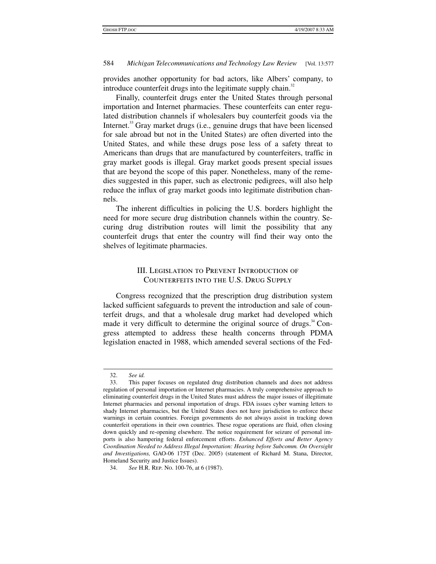provides another opportunity for bad actors, like Albers' company, to introduce counterfeit drugs into the legitimate supply chain.<sup>32</sup>

Finally, counterfeit drugs enter the United States through personal importation and Internet pharmacies. These counterfeits can enter regulated distribution channels if wholesalers buy counterfeit goods via the Internet.<sup>33</sup> Gray market drugs (i.e., genuine drugs that have been licensed for sale abroad but not in the United States) are often diverted into the United States, and while these drugs pose less of a safety threat to Americans than drugs that are manufactured by counterfeiters, traffic in gray market goods is illegal. Gray market goods present special issues that are beyond the scope of this paper. Nonetheless, many of the remedies suggested in this paper, such as electronic pedigrees, will also help reduce the influx of gray market goods into legitimate distribution channels.

The inherent difficulties in policing the U.S. borders highlight the need for more secure drug distribution channels within the country. Securing drug distribution routes will limit the possibility that any counterfeit drugs that enter the country will find their way onto the shelves of legitimate pharmacies.

# III. Legislation to Prevent Introduction of Counterfeits into the U.S. Drug Supply

Congress recognized that the prescription drug distribution system lacked sufficient safeguards to prevent the introduction and sale of counterfeit drugs, and that a wholesale drug market had developed which made it very difficult to determine the original source of drugs. $34$  Congress attempted to address these health concerns through PDMA legislation enacted in 1988, which amended several sections of the Fed-

 $\overline{a}$ 

 <sup>32.</sup> *See id.*

 <sup>33.</sup> This paper focuses on regulated drug distribution channels and does not address regulation of personal importation or Internet pharmacies. A truly comprehensive approach to eliminating counterfeit drugs in the United States must address the major issues of illegitimate Internet pharmacies and personal importation of drugs. FDA issues cyber warning letters to shady Internet pharmacies, but the United States does not have jurisdiction to enforce these warnings in certain countries. Foreign governments do not always assist in tracking down counterfeit operations in their own countries. These rogue operations are fluid, often closing down quickly and re-opening elsewhere. The notice requirement for seizure of personal imports is also hampering federal enforcement efforts. *Enhanced Efforts and Better Agency Coordination Needed to Address Illegal Importation: Hearing before Subcomm. On Oversight and Investigations,* GAO-06 175T (Dec. 2005) (statement of Richard M. Stana, Director, Homeland Security and Justice Issues).

 <sup>34.</sup> *See* H.R. Rep. No. 100-76, at 6 (1987).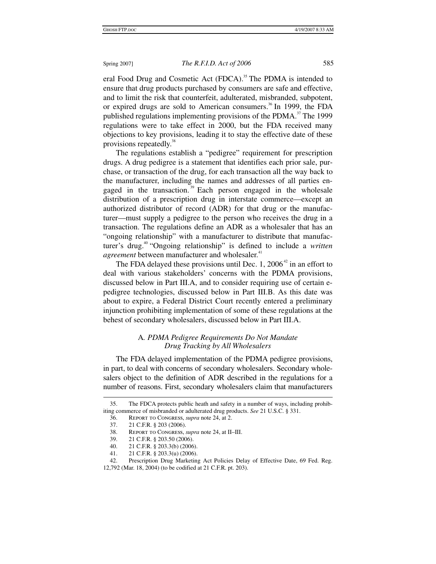eral Food Drug and Cosmetic Act (FDCA).<sup>35</sup> The PDMA is intended to ensure that drug products purchased by consumers are safe and effective, and to limit the risk that counterfeit, adulterated, misbranded, subpotent, or expired drugs are sold to American consumers.<sup>36</sup> In 1999, the FDA published regulations implementing provisions of the PDMA. $37$  The 1999 regulations were to take effect in 2000, but the FDA received many objections to key provisions, leading it to stay the effective date of these provisions repeatedly.<sup>38</sup>

The regulations establish a "pedigree" requirement for prescription drugs. A drug pedigree is a statement that identifies each prior sale, purchase, or transaction of the drug, for each transaction all the way back to the manufacturer, including the names and addresses of all parties engaged in the transaction.<sup>39</sup> Each person engaged in the wholesale distribution of a prescription drug in interstate commerce—except an authorized distributor of record (ADR) for that drug or the manufacturer—must supply a pedigree to the person who receives the drug in a transaction. The regulations define an ADR as a wholesaler that has an "ongoing relationship" with a manufacturer to distribute that manufacturer's drug.<sup>40</sup> "Ongoing relationship" is defined to include a *written agreement* between manufacturer and wholesaler.<sup>41</sup>

The FDA delayed these provisions until Dec. 1,  $2006<sup>42</sup>$  in an effort to deal with various stakeholders' concerns with the PDMA provisions, discussed below in Part III.A, and to consider requiring use of certain epedigree technologies, discussed below in Part III.B. As this date was about to expire, a Federal District Court recently entered a preliminary injunction prohibiting implementation of some of these regulations at the behest of secondary wholesalers, discussed below in Part III.A.

## A*. PDMA Pedigree Requirements Do Not Mandate Drug Tracking by All Wholesalers*

The FDA delayed implementation of the PDMA pedigree provisions, in part, to deal with concerns of secondary wholesalers. Secondary wholesalers object to the definition of ADR described in the regulations for a number of reasons. First, secondary wholesalers claim that manufacturers

 <sup>35.</sup> The FDCA protects public heath and safety in a number of ways, including prohibiting commerce of misbranded or adulterated drug products. *See* 21 U.S.C. § 331.

 <sup>36.</sup> Report to Congress, *supra* note 24, at 2.

 <sup>37. 21</sup> C.F.R. § 203 (2006).

 <sup>38.</sup> Report to Congress, *supra* note 24, at II–III.

 <sup>39. 21</sup> C.F.R. § 203.50 (2006).

<sup>40. 21</sup> C.F.R. § 203.3(b) (2006).<br>41. 21 C.F.R. § 203.3(u) (2006).

 <sup>41. 21</sup> C.F.R. § 203.3(u) (2006).

 <sup>42.</sup> Prescription Drug Marketing Act Policies Delay of Effective Date, 69 Fed. Reg. 12,792 (Mar. 18, 2004) (to be codified at 21 C.F.R. pt. 203).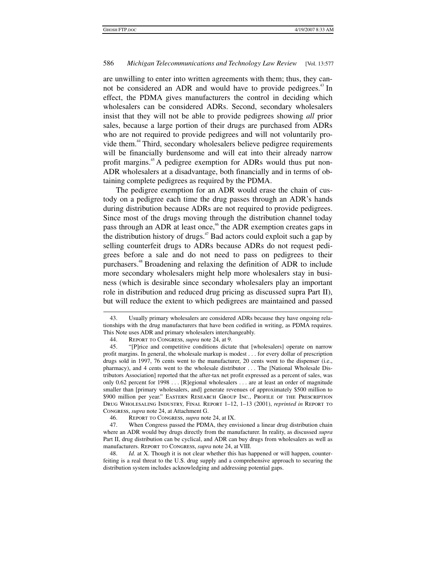are unwilling to enter into written agreements with them; thus, they cannot be considered an ADR and would have to provide pedigrees.<sup>43</sup> In effect, the PDMA gives manufacturers the control in deciding which wholesalers can be considered ADRs. Second, secondary wholesalers insist that they will not be able to provide pedigrees showing *all* prior sales, because a large portion of their drugs are purchased from ADRs who are not required to provide pedigrees and will not voluntarily provide them.<sup>44</sup> Third, secondary wholesalers believe pedigree requirements will be financially burdensome and will eat into their already narrow profit margins.<sup>45</sup> A pedigree exemption for ADRs would thus put non-ADR wholesalers at a disadvantage, both financially and in terms of obtaining complete pedigrees as required by the PDMA.

The pedigree exemption for an ADR would erase the chain of custody on a pedigree each time the drug passes through an ADR's hands during distribution because ADRs are not required to provide pedigrees. Since most of the drugs moving through the distribution channel today pass through an ADR at least once,<sup>46</sup> the ADR exemption creates gaps in the distribution history of drugs.<sup> $47$ </sup> Bad actors could exploit such a gap by selling counterfeit drugs to ADRs because ADRs do not request pedigrees before a sale and do not need to pass on pedigrees to their purchasers.<sup>48</sup> Broadening and relaxing the definition of ADR to include more secondary wholesalers might help more wholesalers stay in business (which is desirable since secondary wholesalers play an important role in distribution and reduced drug pricing as discussed supra Part II), but will reduce the extent to which pedigrees are maintained and passed

46. Report to Congress, *supra* note 24, at IX.

<sup>1</sup>  43. Usually primary wholesalers are considered ADRs because they have ongoing relationships with the drug manufacturers that have been codified in writing, as PDMA requires. This Note uses ADR and primary wholesalers interchangeably.

 <sup>44.</sup> Report to Congress, *supra* note 24, at 9.

 <sup>45. &</sup>quot;[P]rice and competitive conditions dictate that [wholesalers] operate on narrow profit margins. In general, the wholesale markup is modest . . . for every dollar of prescription drugs sold in 1997, 76 cents went to the manufacturer, 20 cents went to the dispenser (i.e., pharmacy), and 4 cents went to the wholesale distributor . . . The [National Wholesale Distributors Association] reported that the after-tax net profit expressed as a percent of sales, was only 0.62 percent for 1998 . . . [R]egional wholesalers . . . are at least an order of magnitude smaller than [primary wholesalers, and] generate revenues of approximately \$500 million to \$900 million per year." Eastern Research Group Inc., Profile of the Prescription Drug Wholesaling Industry, Final Report 1–12, 1–13 (2001), *reprinted in* Report to Congress, *supra* note 24, at Attachment G.

 <sup>47.</sup> When Congress passed the PDMA, they envisioned a linear drug distribution chain where an ADR would buy drugs directly from the manufacturer. In reality, as discussed *supra* Part II, drug distribution can be cyclical, and ADR can buy drugs from wholesalers as well as manufacturers. Report to Congress, *supra* note 24, at VIII.

 <sup>48.</sup> *Id.* at X. Though it is not clear whether this has happened or will happen, counterfeiting is a real threat to the U.S. drug supply and a comprehensive approach to securing the distribution system includes acknowledging and addressing potential gaps.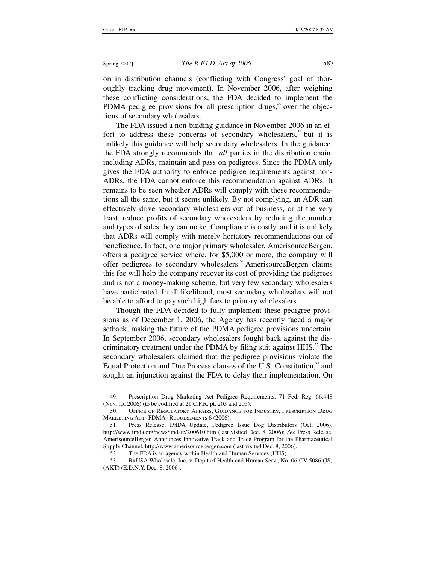on in distribution channels (conflicting with Congress' goal of thoroughly tracking drug movement). In November 2006, after weighing these conflicting considerations, the FDA decided to implement the PDMA pedigree provisions for all prescription drugs, $49$  over the objections of secondary wholesalers.

The FDA issued a non-binding guidance in November 2006 in an effort to address these concerns of secondary wholesalers,<sup>50</sup> but it is unlikely this guidance will help secondary wholesalers. In the guidance, the FDA strongly recommends that *all* parties in the distribution chain, including ADRs, maintain and pass on pedigrees. Since the PDMA only gives the FDA authority to enforce pedigree requirements against non-ADRs, the FDA cannot enforce this recommendation against ADRs. It remains to be seen whether ADRs will comply with these recommendations all the same, but it seems unlikely. By not complying, an ADR can effectively drive secondary wholesalers out of business, or at the very least, reduce profits of secondary wholesalers by reducing the number and types of sales they can make. Compliance is costly, and it is unlikely that ADRs will comply with merely hortatory recommendations out of beneficence. In fact, one major primary wholesaler, AmerisourceBergen, offers a pedigree service where, for \$5,000 or more, the company will offer pedigrees to secondary wholesalers.<sup>51</sup> AmerisourceBergen claims this fee will help the company recover its cost of providing the pedigrees and is not a money-making scheme, but very few secondary wholesalers have participated. In all likelihood, most secondary wholesalers will not be able to afford to pay such high fees to primary wholesalers.

Though the FDA decided to fully implement these pedigree provisions as of December 1, 2006, the Agency has recently faced a major setback, making the future of the PDMA pedigree provisions uncertain. In September 2006, secondary wholesalers fought back against the discriminatory treatment under the PDMA by filing suit against  $HHS$ <sup>52</sup>. The secondary wholesalers claimed that the pedigree provisions violate the Equal Protection and Due Process clauses of the U.S. Constitution,<sup>53</sup> and sought an injunction against the FDA to delay their implementation. On

 $\overline{a}$  49. Prescription Drug Marketing Act Pedigree Requirements, 71 Fed. Reg. 66,448 (Nov. 15, 2006) (to be codified at 21 C.F.R. pt. 203 and 205).

 <sup>50.</sup> Office of Regulatory Affairs, Guidance for Industry, Prescription Drug Marketing Act (PDMA) Requirements 6 (2006).

 <sup>51.</sup> Press Release, IMDA Update, Pedigree Issue Dog Distributors (Oct. 2006), http://www.imda.org/news/update/200610.htm (last visited Dec. 8, 2006); *See* Press Release, AmerisourceBergen Announces Innovative Track and Trace Program for the Pharmaceutical Supply Channel, http://www.amerisourcebergen.com (last visited Dec. 8, 2006).

 <sup>52.</sup> The FDA is an agency within Health and Human Services (HHS).

 <sup>53.</sup> RxUSA Wholesale, Inc. v. Dep't of Health and Human Serv., No. 06-CV-5086 (JS) (AKT) (E.D.N.Y. Dec. 8, 2006).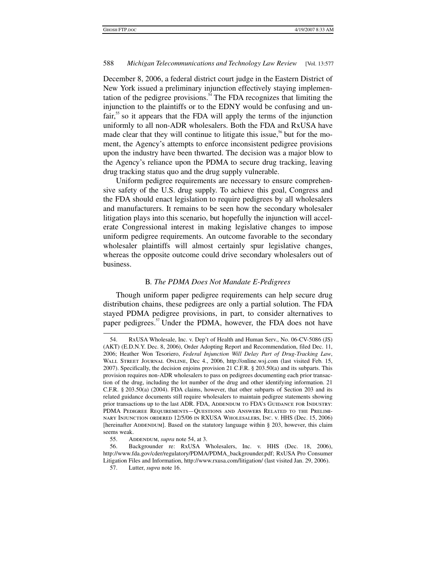December 8, 2006, a federal district court judge in the Eastern District of New York issued a preliminary injunction effectively staying implementation of the pedigree provisions.<sup>54</sup> The FDA recognizes that limiting the injunction to the plaintiffs or to the EDNY would be confusing and un $fair,$ <sup>55</sup> so it appears that the FDA will apply the terms of the injunction uniformly to all non-ADR wholesalers. Both the FDA and RxUSA have made clear that they will continue to litigate this issue,<sup>56</sup> but for the moment, the Agency's attempts to enforce inconsistent pedigree provisions upon the industry have been thwarted. The decision was a major blow to the Agency's reliance upon the PDMA to secure drug tracking, leaving drug tracking status quo and the drug supply vulnerable.

Uniform pedigree requirements are necessary to ensure comprehensive safety of the U.S. drug supply. To achieve this goal, Congress and the FDA should enact legislation to require pedigrees by all wholesalers and manufacturers. It remains to be seen how the secondary wholesaler litigation plays into this scenario, but hopefully the injunction will accelerate Congressional interest in making legislative changes to impose uniform pedigree requirements. An outcome favorable to the secondary wholesaler plaintiffs will almost certainly spur legislative changes, whereas the opposite outcome could drive secondary wholesalers out of business.

### B*. The PDMA Does Not Mandate E-Pedigrees*

Though uniform paper pedigree requirements can help secure drug distribution chains, these pedigrees are only a partial solution. The FDA stayed PDMA pedigree provisions, in part, to consider alternatives to paper pedigrees.<sup>57</sup> Under the PDMA, however, the FDA does not have

 <sup>54.</sup> RxUSA Wholesale, Inc. v. Dep't of Health and Human Serv., No. 06-CV-5086 (JS) (AKT) (E.D.N.Y. Dec. 8, 2006), Order Adopting Report and Recommendation, filed Dec. 11, 2006; Heather Won Tesoriero, *Federal Injunction Will Delay Part of Drug-Tracking Law*, Wall Street Journal Online, Dec 4., 2006, http://online.wsj.com (last visited Feb. 15, 2007). Specifically, the decision enjoins provision 21 C.F.R. § 203.50(a) and its subparts. This provision requires non-ADR wholesalers to pass on pedigrees documenting each prior transaction of the drug, including the lot number of the drug and other identifying information. 21 C.F.R. § 203.50(a) (2004). FDA claims, however, that other subparts of Section 203 and its related guidance documents still require wholesalers to maintain pedigree statements showing prior transactions up to the last ADR. FDA, ADDENDUM TO FDA's GUIDANCE FOR INDUSTRY: PDMA Pedigree Requirements—Questions and Answers Related to the Preliminary Injunction ordered 12/5/06 in RXUSA Wholesalers, Inc. v. HHS (Dec. 15, 2006) [hereinafter ADDENDUM]. Based on the statutory language within § 203, however, this claim seems weak.

<sup>55.</sup> ADDENDUM, *supra* note 54, at 3.

 <sup>56.</sup> Backgrounder re: RxUSA Wholesalers, Inc. v. HHS (Dec. 18, 2006), http://www.fda.gov/cder/regulatory/PDMA/PDMA\_backgrounder.pdf; RxUSA Pro Consumer Litigation Files and Information, http://www.rxusa.com/litigation/ (last visited Jan. 29, 2006).

 <sup>57.</sup> Lutter, *supra* note 16.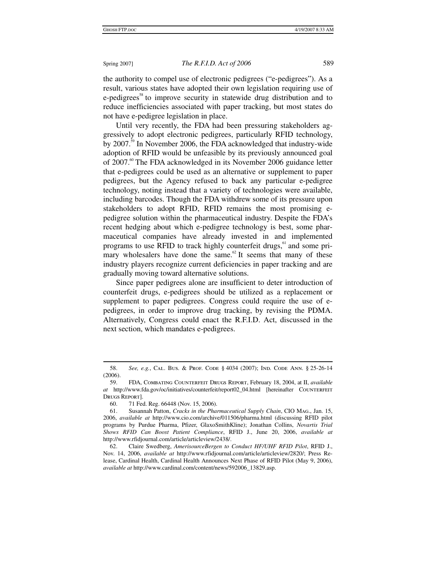the authority to compel use of electronic pedigrees ("e-pedigrees"). As a result, various states have adopted their own legislation requiring use of e-pedigrees<sup>58</sup> to improve security in statewide drug distribution and to reduce inefficiencies associated with paper tracking, but most states do not have e-pedigree legislation in place.

Until very recently, the FDA had been pressuring stakeholders aggressively to adopt electronic pedigrees, particularly RFID technology, by 2007.<sup>59</sup> In November 2006, the FDA acknowledged that industry-wide adoption of RFID would be unfeasible by its previously announced goal of 2007.<sup>60</sup> The FDA acknowledged in its November 2006 guidance letter that e-pedigrees could be used as an alternative or supplement to paper pedigrees, but the Agency refused to back any particular e-pedigree technology, noting instead that a variety of technologies were available, including barcodes. Though the FDA withdrew some of its pressure upon stakeholders to adopt RFID, RFID remains the most promising epedigree solution within the pharmaceutical industry. Despite the FDA's recent hedging about which e-pedigree technology is best, some pharmaceutical companies have already invested in and implemented programs to use RFID to track highly counterfeit drugs, $61$  and some primary wholesalers have done the same. $62$  It seems that many of these industry players recognize current deficiencies in paper tracking and are gradually moving toward alternative solutions.

Since paper pedigrees alone are insufficient to deter introduction of counterfeit drugs, e-pedigrees should be utilized as a replacement or supplement to paper pedigrees. Congress could require the use of epedigrees, in order to improve drug tracking, by revising the PDMA. Alternatively, Congress could enact the R.F.I.D. Act, discussed in the next section, which mandates e-pedigrees.

 $\ddot{\phantom{a}}$ 

 <sup>58.</sup> *See, e.g.*, Cal. Bus. & Prof. Code § 4034 (2007); Ind. Code Ann. § 25-26-14 (2006).

 <sup>59.</sup> FDA, Combating Counterfeit Drugs Report, February 18, 2004, at II, *available at* http://www.fda.gov/oc/initiatives/counterfeit/report02\_04.html [hereinafter Counterfeit Drugs Report].

 <sup>60. 71</sup> Fed. Reg. 66448 (Nov. 15, 2006).

 <sup>61.</sup> Susannah Patton, *Cracks in the Pharmaceutical Supply Chain*, CIO Mag., Jan. 15, 2006, *available at* http://www.cio.com/archive/011506/pharma.html (discussing RFID pilot programs by Purdue Pharma, Pfizer, GlaxoSmithKline); Jonathan Collins, *Novartis Trial Shows RFID Can Boost Patient Compliance*, RFID J., June 20, 2006, *available at* http://www.rfidjournal.com/article/articleview/2438/.

 <sup>62.</sup> Claire Swedberg, *AmerisourceBergen to Conduct HF/UHF RFID Pilot*, RFID J., Nov. 14, 2006, *available at* http://www.rfidjournal.com/article/articleview/2820/; Press Release, Cardinal Health, Cardinal Health Announces Next Phase of RFID Pilot (May 9, 2006), *available at* http://www.cardinal.com/content/news/592006\_13829.asp.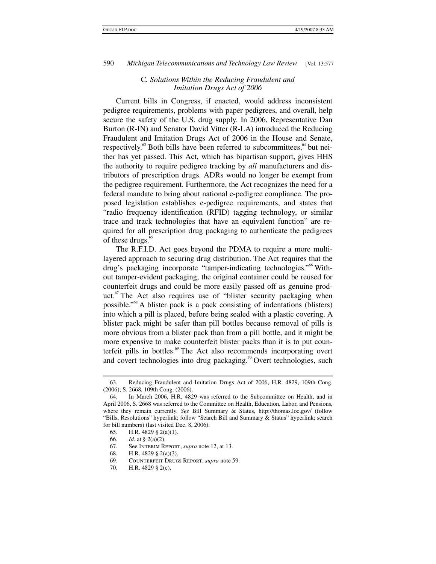### C*. Solutions Within the Reducing Fraudulent and Imitation Drugs Act of 2006*

Current bills in Congress, if enacted, would address inconsistent pedigree requirements, problems with paper pedigrees, and overall, help secure the safety of the U.S. drug supply. In 2006, Representative Dan Burton (R-IN) and Senator David Vitter (R-LA) introduced the Reducing Fraudulent and Imitation Drugs Act of 2006 in the House and Senate, respectively. $63$  Both bills have been referred to subcommittees,  $64$  but neither has yet passed. This Act, which has bipartisan support, gives HHS the authority to require pedigree tracking by *all* manufacturers and distributors of prescription drugs. ADRs would no longer be exempt from the pedigree requirement. Furthermore, the Act recognizes the need for a federal mandate to bring about national e-pedigree compliance. The proposed legislation establishes e-pedigree requirements, and states that "radio frequency identification (RFID) tagging technology, or similar trace and track technologies that have an equivalent function" are required for all prescription drug packaging to authenticate the pedigrees of these drugs.<sup>65</sup>

The R.F.I.D. Act goes beyond the PDMA to require a more multilayered approach to securing drug distribution. The Act requires that the drug's packaging incorporate "tamper-indicating technologies."66 Without tamper-evident packaging, the original container could be reused for counterfeit drugs and could be more easily passed off as genuine product. $\alpha$ <sup>67</sup> The Act also requires use of "blister security packaging when possible."68 A blister pack is a pack consisting of indentations (blisters) into which a pill is placed, before being sealed with a plastic covering. A blister pack might be safer than pill bottles because removal of pills is more obvious from a blister pack than from a pill bottle, and it might be more expensive to make counterfeit blister packs than it is to put counterfeit pills in bottles.<sup>69</sup> The Act also recommends incorporating overt and covert technologies into drug packaging.<sup>70</sup> Overt technologies, such

<sup>1</sup>  63. Reducing Fraudulent and Imitation Drugs Act of 2006, H.R. 4829, 109th Cong. (2006); S. 2668, 109th Cong. (2006).

 <sup>64.</sup> In March 2006, H.R. 4829 was referred to the Subcommittee on Health, and in April 2006, S. 2668 was referred to the Committee on Health, Education, Labor, and Pensions, where they remain currently. *See* Bill Summary & Status, http://thomas.loc.gov/ (follow "Bills, Resolutions" hyperlink; follow "Search Bill and Summary & Status" hyperlink; search for bill numbers) (last visited Dec. 8, 2006).

 <sup>65.</sup> H.R. 4829 § 2(a)(1).

 <sup>66.</sup> *Id.* at § 2(a)(2).

 <sup>67.</sup> See Interim Report, *supra* note 12, at 13.

 <sup>68.</sup> H.R. 4829 § 2(a)(3).

 <sup>69.</sup> Counterfeit Drugs Report, *supra* note 59.

 <sup>70.</sup> H.R. 4829 § 2(c).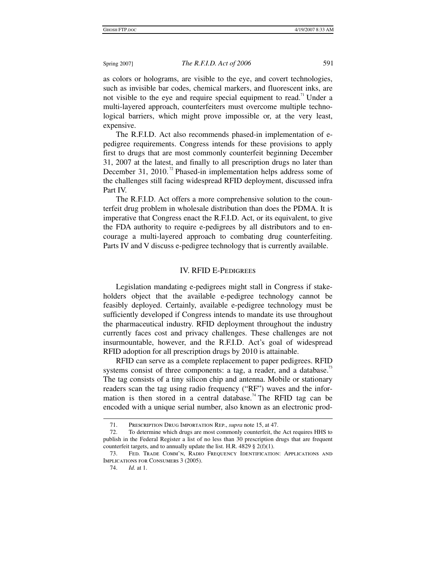as colors or holograms, are visible to the eye, and covert technologies, such as invisible bar codes, chemical markers, and fluorescent inks, are not visible to the eye and require special equipment to read.<sup>71</sup> Under a multi-layered approach, counterfeiters must overcome multiple technological barriers, which might prove impossible or, at the very least, expensive.

The R.F.I.D. Act also recommends phased-in implementation of epedigree requirements. Congress intends for these provisions to apply first to drugs that are most commonly counterfeit beginning December 31, 2007 at the latest, and finally to all prescription drugs no later than December 31, 2010.<sup> $n$ </sup> Phased-in implementation helps address some of the challenges still facing widespread RFID deployment, discussed infra Part IV.

The R.F.I.D. Act offers a more comprehensive solution to the counterfeit drug problem in wholesale distribution than does the PDMA. It is imperative that Congress enact the R.F.I.D. Act, or its equivalent, to give the FDA authority to require e-pedigrees by all distributors and to encourage a multi-layered approach to combating drug counterfeiting. Parts IV and V discuss e-pedigree technology that is currently available.

### IV. RFID E-Pedigrees

Legislation mandating e-pedigrees might stall in Congress if stakeholders object that the available e-pedigree technology cannot be feasibly deployed. Certainly, available e-pedigree technology must be sufficiently developed if Congress intends to mandate its use throughout the pharmaceutical industry. RFID deployment throughout the industry currently faces cost and privacy challenges. These challenges are not insurmountable, however, and the R.F.I.D. Act's goal of widespread RFID adoption for all prescription drugs by 2010 is attainable.

RFID can serve as a complete replacement to paper pedigrees. RFID systems consist of three components: a tag, a reader, and a database.<sup>13</sup> The tag consists of a tiny silicon chip and antenna. Mobile or stationary readers scan the tag using radio frequency ("RF") waves and the information is then stored in a central database.<sup>74</sup> The RFID tag can be encoded with a unique serial number, also known as an electronic prod-

 <sup>71.</sup> Prescription Drug Importation Rep., *supra* note 15, at 47.

 <sup>72.</sup> To determine which drugs are most commonly counterfeit, the Act requires HHS to publish in the Federal Register a list of no less than 30 prescription drugs that are frequent counterfeit targets, and to annually update the list. H.R. 4829  $\S$  2(f)(1).

 <sup>73.</sup> Fed. Trade Comm'n, Radio Frequency Identification: Applications and Implications for Consumers 3 (2005).

 <sup>74.</sup> *Id.* at 1.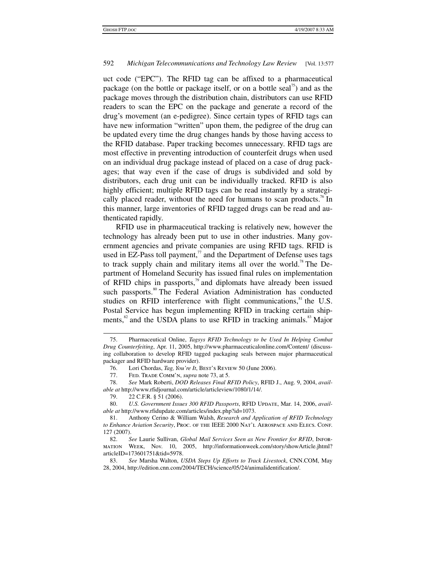uct code ("EPC"). The RFID tag can be affixed to a pharmaceutical package (on the bottle or package itself, or on a bottle seal<sup> $\alpha$ </sup>) and as the package moves through the distribution chain, distributors can use RFID readers to scan the EPC on the package and generate a record of the drug's movement (an e-pedigree). Since certain types of RFID tags can have new information "written" upon them, the pedigree of the drug can be updated every time the drug changes hands by those having access to the RFID database. Paper tracking becomes unnecessary. RFID tags are most effective in preventing introduction of counterfeit drugs when used on an individual drug package instead of placed on a case of drug packages; that way even if the case of drugs is subdivided and sold by distributors, each drug unit can be individually tracked. RFID is also highly efficient; multiple RFID tags can be read instantly by a strategically placed reader, without the need for humans to scan products.<sup>76</sup> In this manner, large inventories of RFID tagged drugs can be read and authenticated rapidly.

RFID use in pharmaceutical tracking is relatively new, however the technology has already been put to use in other industries. Many government agencies and private companies are using RFID tags. RFID is used in EZ-Pass toll payment, $\frac{7}{1}$  and the Department of Defense uses tags to track supply chain and military items all over the world.<sup>78</sup> The Department of Homeland Security has issued final rules on implementation of RFID chips in passports, $\beta$  and diplomats have already been issued such passports.<sup>80</sup> The Federal Aviation Administration has conducted studies on RFID interference with flight communications,<sup>81</sup> the U.S. Postal Service has begun implementing RFID in tracking certain shipments, ${}^{82}$  and the USDA plans to use RFID in tracking animals. ${}^{83}$  Major

 <sup>75.</sup> Pharmaceutical Online, *Tagsys RFID Technology to be Used In Helping Combat Drug Counterfeiting*, Apr. 11, 2005, http://www.pharmaceuticalonline.com/Content/ (discussing collaboration to develop RFID tagged packaging seals between major pharmaceutical packager and RFID hardware provider).

 <sup>76.</sup> Lori Chordas, *Tag, You're It*, Best's Review 50 (June 2006).

 <sup>77.</sup> Fed. Trade Comm'n, *supra* note 73, at 5.

 <sup>78.</sup> *See* Mark Roberti, *DOD Releases Final RFID Policy*, RFID J., Aug. 9, 2004, *available at* http://www.rfidjournal.com/article/articleview/1080/1/14/.

 <sup>79. 22</sup> C.F.R. § 51 (2006).

<sup>80.</sup> U.S. Government Issues 300 RFID Passports, RFID UPDATE, Mar. 14, 2006, avail*able at* http://www.rfidupdate.com/articles/index.php?id=1073.

 <sup>81.</sup> Anthony Cerino & William Walsh, *Research and Application of RFID Technology to Enhance Aviation Security*, Proc. of the IEEE 2000 Nat'l Aerospace and Elecs. Conf. 127 (2007).

 <sup>82.</sup> *See* Laurie Sullivan, *Global Mail Services Seen as New Frontier for RFID*, Information Week, Nov. 10, 2005, http://informationweek.com/story/showArticle.jhtml? articleID=173601751&tid=5978.

 <sup>83.</sup> *See* Marsha Walton, *USDA Steps Up Efforts to Track Livestock*, CNN.COM, May 28, 2004, http://edition.cnn.com/2004/TECH/science/05/24/animalidentification/.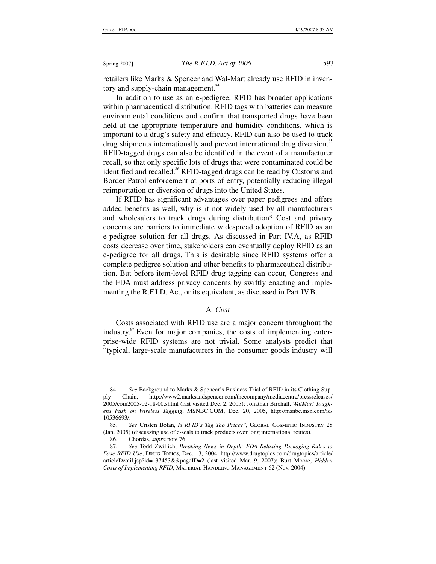retailers like Marks & Spencer and Wal-Mart already use RFID in inventory and supply-chain management.<sup>84</sup>

In addition to use as an e-pedigree, RFID has broader applications within pharmaceutical distribution. RFID tags with batteries can measure environmental conditions and confirm that transported drugs have been held at the appropriate temperature and humidity conditions, which is important to a drug's safety and efficacy. RFID can also be used to track drug shipments internationally and prevent international drug diversion.<sup>85</sup> RFID-tagged drugs can also be identified in the event of a manufacturer recall, so that only specific lots of drugs that were contaminated could be identified and recalled.<sup>86</sup> RFID-tagged drugs can be read by Customs and Border Patrol enforcement at ports of entry, potentially reducing illegal reimportation or diversion of drugs into the United States.

If RFID has significant advantages over paper pedigrees and offers added benefits as well, why is it not widely used by all manufacturers and wholesalers to track drugs during distribution? Cost and privacy concerns are barriers to immediate widespread adoption of RFID as an e-pedigree solution for all drugs. As discussed in Part IV.A, as RFID costs decrease over time, stakeholders can eventually deploy RFID as an e-pedigree for all drugs. This is desirable since RFID systems offer a complete pedigree solution and other benefits to pharmaceutical distribution. But before item-level RFID drug tagging can occur, Congress and the FDA must address privacy concerns by swiftly enacting and implementing the R.F.I.D. Act, or its equivalent, as discussed in Part IV.B.

### A*. Cost*

Costs associated with RFID use are a major concern throughout the industry.<sup>87</sup> Even for major companies, the costs of implementing enterprise-wide RFID systems are not trivial. Some analysts predict that "typical, large-scale manufacturers in the consumer goods industry will

 $\ddot{\phantom{a}}$  84. *See* Background to Marks & Spencer's Business Trial of RFID in its Clothing Supply Chain, http://www2.marksandspencer.com/thecompany/mediacentre/pressreleases/ 2005/com2005-02-18-00.shtml (last visited Dec. 2, 2005); Jonathan Birchall, *WalMart Toughens Push on Wireless Tagging*, MSNBC.COM, Dec. 20, 2005, http://msnbc.msn.com/id/ 10536693/.

 <sup>85.</sup> *See* Cristen Bolan, *Is RFID's Tag Too Pricey?*, Global Cosmetic Industry 28 (Jan. 2005) (discussing use of e-seals to track products over long international routes).

 <sup>86.</sup> Chordas, *supra* note 76.

 <sup>87.</sup> *See* Todd Zwillich, *Breaking News in Depth: FDA Relaxing Packaging Rules to Ease RFID Use*, Drug Topics, Dec. 13, 2004, http://www.drugtopics.com/drugtopics/article/ articleDetail.jsp?id=137453&&pageID=2 (last visited Mar. 9, 2007); Burt Moore, *Hidden Costs of Implementing RFID*, Material Handling Management 62 (Nov. 2004).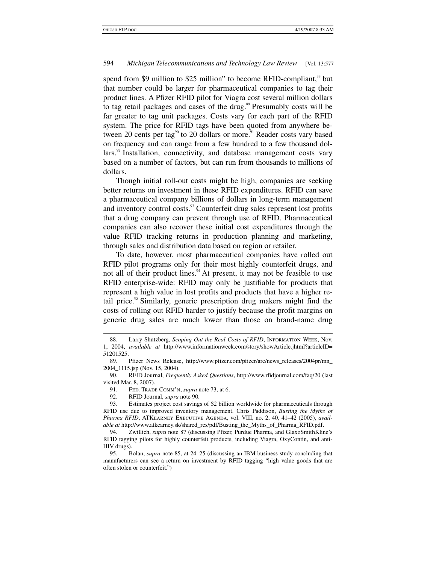spend from \$9 million to \$25 million" to become RFID-compliant, $^{88}$  but that number could be larger for pharmaceutical companies to tag their product lines. A Pfizer RFID pilot for Viagra cost several million dollars to tag retail packages and cases of the drug.<sup>89</sup> Presumably costs will be far greater to tag unit packages. Costs vary for each part of the RFID system. The price for RFID tags have been quoted from anywhere between 20 cents per tag<sup>90</sup> to 20 dollars or more.<sup>91</sup> Reader costs vary based on frequency and can range from a few hundred to a few thousand dollars. $92$  Installation, connectivity, and database management costs vary based on a number of factors, but can run from thousands to millions of dollars.

Though initial roll-out costs might be high, companies are seeking better returns on investment in these RFID expenditures. RFID can save a pharmaceutical company billions of dollars in long-term management and inventory control costs.<sup>93</sup> Counterfeit drug sales represent lost profits that a drug company can prevent through use of RFID. Pharmaceutical companies can also recover these initial cost expenditures through the value RFID tracking returns in production planning and marketing, through sales and distribution data based on region or retailer.

To date, however, most pharmaceutical companies have rolled out RFID pilot programs only for their most highly counterfeit drugs, and not all of their product lines.<sup>94</sup> At present, it may not be feasible to use RFID enterprise-wide: RFID may only be justifiable for products that represent a high value in lost profits and products that have a higher retail price.<sup>95</sup> Similarly, generic prescription drug makers might find the costs of rolling out RFID harder to justify because the profit margins on generic drug sales are much lower than those on brand-name drug

 <sup>88.</sup> Larry Shutzberg, *Scoping Out the Real Costs of RFID*, Information Week, Nov. 1, 2004, *available at* http://www.informationweek.com/story/showArticle.jhtml?articleID= 51201525.

 <sup>89.</sup> Pfizer News Release, http://www.pfizer.com/pfizer/are/news\_releases/2004pr/mn\_ 2004\_1115.jsp (Nov. 15, 2004).

 <sup>90.</sup> RFID Journal, *Frequently Asked Questions*, http://www.rfidjournal.com/faq/20 (last visited Mar. 8, 2007).

 <sup>91.</sup> Fed. Trade Comm'n, *supra* note 73, at 6.

 <sup>92.</sup> RFID Journal, *supra* note 90.

 <sup>93.</sup> Estimates project cost savings of \$2 billion worldwide for pharmaceuticals through RFID use due to improved inventory management. Chris Paddison, *Busting the Myths of*  Pharma RFID, ATKEARNEY EXECUTIVE AGENDA, vol. VIII, no. 2, 40, 41-42 (2005), *available at* http://www.atkearney.sk/shared\_res/pdf/Busting\_the\_Myths\_of\_Pharma\_RFID.pdf.

 <sup>94.</sup> Zwillich, *supra* note 87 (discussing Pfizer, Purdue Pharma, and GlaxoSmithKline's RFID tagging pilots for highly counterfeit products, including Viagra, OxyContin, and anti-HIV drugs).

 <sup>95.</sup> Bolan, *supra* note 85, at 24–25 (discussing an IBM business study concluding that manufacturers can see a return on investment by RFID tagging "high value goods that are often stolen or counterfeit.")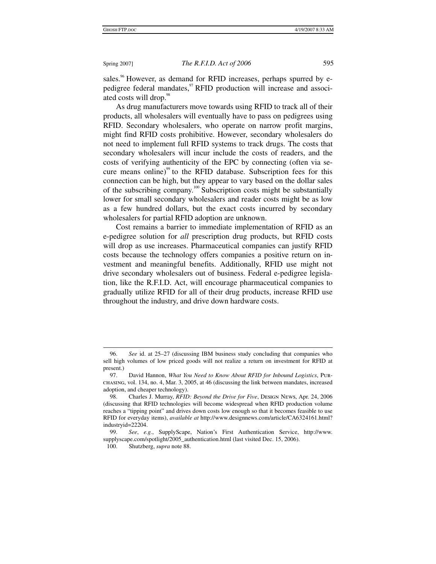sales.<sup>96</sup> However, as demand for RFID increases, perhaps spurred by epedigree federal mandates, <sup>97</sup> RFID production will increase and associated costs will drop.<sup>98</sup>

As drug manufacturers move towards using RFID to track all of their products, all wholesalers will eventually have to pass on pedigrees using RFID. Secondary wholesalers, who operate on narrow profit margins, might find RFID costs prohibitive. However, secondary wholesalers do not need to implement full RFID systems to track drugs. The costs that secondary wholesalers will incur include the costs of readers, and the costs of verifying authenticity of the EPC by connecting (often via secure means online)<sup>99</sup> to the RFID database. Subscription fees for this connection can be high, but they appear to vary based on the dollar sales of the subscribing company.100 Subscription costs might be substantially lower for small secondary wholesalers and reader costs might be as low as a few hundred dollars, but the exact costs incurred by secondary wholesalers for partial RFID adoption are unknown.

Cost remains a barrier to immediate implementation of RFID as an e-pedigree solution for *all* prescription drug products, but RFID costs will drop as use increases. Pharmaceutical companies can justify RFID costs because the technology offers companies a positive return on investment and meaningful benefits. Additionally, RFID use might not drive secondary wholesalers out of business. Federal e-pedigree legislation, like the R.F.I.D. Act, will encourage pharmaceutical companies to gradually utilize RFID for all of their drug products, increase RFID use throughout the industry, and drive down hardware costs.

 $\overline{a}$ 

 <sup>96.</sup> *See* id. at 25–27 (discussing IBM business study concluding that companies who sell high volumes of low priced goods will not realize a return on investment for RFID at present.)

 <sup>97.</sup> David Hannon, *What You Need to Know About RFID for Inbound Logistics*, Purchasing, vol. 134, no. 4, Mar. 3, 2005, at 46 (discussing the link between mandates, increased adoption, and cheaper technology).

 <sup>98.</sup> Charles J. Murray, *RFID: Beyond the Drive for Five*, Design News, Apr. 24, 2006 (discussing that RFID technologies will become widespread when RFID production volume reaches a "tipping point" and drives down costs low enough so that it becomes feasible to use RFID for everyday items), *available at* http://www.designnews.com/article/CA6324161.html? industryid=22204.

 <sup>99.</sup> *See*, *e.g.*, SupplyScape, Nation's First Authentication Service, http://www. supplyscape.com/spotlight/2005\_authentication.html (last visited Dec. 15, 2006).

 <sup>100.</sup> Shutzberg, *supra* note 88.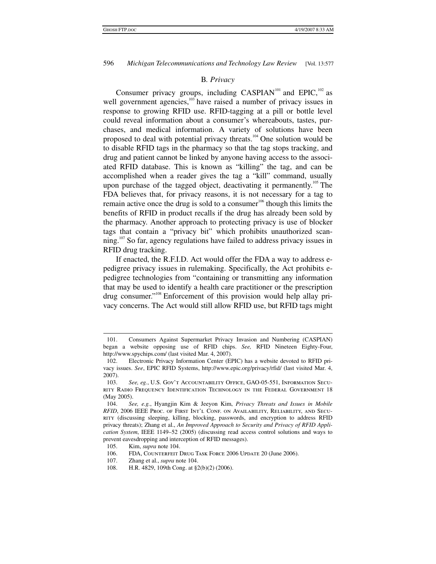### B*. Privacy*

Consumer privacy groups, including  $CASPIAN^{101}$  and  $EPIC$ ,  $^{102}$  as well government agencies,<sup>103</sup> have raised a number of privacy issues in response to growing RFID use. RFID-tagging at a pill or bottle level could reveal information about a consumer's whereabouts, tastes, purchases, and medical information. A variety of solutions have been proposed to deal with potential privacy threats.<sup>104</sup> One solution would be to disable RFID tags in the pharmacy so that the tag stops tracking, and drug and patient cannot be linked by anyone having access to the associated RFID database. This is known as "killing" the tag, and can be accomplished when a reader gives the tag a "kill" command, usually upon purchase of the tagged object, deactivating it permanently.<sup>105</sup> The FDA believes that, for privacy reasons, it is not necessary for a tag to remain active once the drug is sold to a consumer $106$  though this limits the benefits of RFID in product recalls if the drug has already been sold by the pharmacy. Another approach to protecting privacy is use of blocker tags that contain a "privacy bit" which prohibits unauthorized scanning.<sup>107</sup> So far, agency regulations have failed to address privacy issues in RFID drug tracking.

If enacted, the R.F.I.D. Act would offer the FDA a way to address epedigree privacy issues in rulemaking. Specifically, the Act prohibits epedigree technologies from "containing or transmitting any information that may be used to identify a health care practitioner or the prescription drug consumer."<sup>108</sup> Enforcement of this provision would help allay privacy concerns. The Act would still allow RFID use, but RFID tags might

- FDA, COUNTERFEIT DRUG TASK FORCE 2006 UPDATE 20 (June 2006).
- 107. Zhang et al., *supra* note 104.
- 108. H.R. 4829, 109th Cong. at §2(b)(2) (2006).

 <sup>101.</sup> Consumers Against Supermarket Privacy Invasion and Numbering (CASPIAN) began a website opposing use of RFID chips. *See,* RFID Nineteen Eighty-Four, http://www.spychips.com/ (last visited Mar. 4, 2007).

 <sup>102.</sup> Electronic Privacy Information Center (EPIC) has a website devoted to RFID privacy issues. *See*, EPIC RFID Systems, http://www.epic.org/privacy/rfid/ (last visited Mar. 4, 2007).

 <sup>103.</sup> *See, eg.*, U.S. Gov't Accountability Office, GAO-05-551, Information Security Radio Frequency Identification Technology in the Federal Government 18 (May 2005).

 <sup>104.</sup> *See, e.g.*, Hyangjin Kim & Jeeyon Kim, *Privacy Threats and Issues in Mobile RFID*, 2006 IEEE Proc. of First Int'l Conf. on Availability, Reliability, and Secu-RITY (discussing sleeping, killing, blocking, passwords, and encryption to address RFID privacy threats); Zhang et al., *An Improved Approach to Security and Privacy of RFID Application System*, IEEE 1149–52 (2005) (discussing read access control solutions and ways to prevent eavesdropping and interception of RFID messages).

<sup>105.</sup> Kim, *supra* note 104.<br>106. FDA. COUNTERFEIT I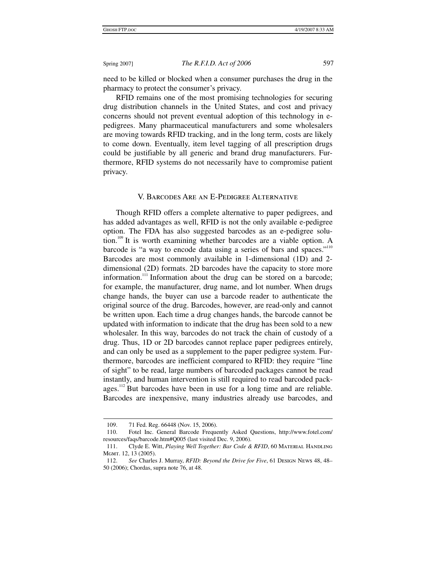need to be killed or blocked when a consumer purchases the drug in the pharmacy to protect the consumer's privacy.

RFID remains one of the most promising technologies for securing drug distribution channels in the United States, and cost and privacy concerns should not prevent eventual adoption of this technology in epedigrees. Many pharmaceutical manufacturers and some wholesalers are moving towards RFID tracking, and in the long term, costs are likely to come down. Eventually, item level tagging of all prescription drugs could be justifiable by all generic and brand drug manufacturers. Furthermore, RFID systems do not necessarily have to compromise patient privacy.

### V. Barcodes Are an E-Pedigree Alternative

Though RFID offers a complete alternative to paper pedigrees, and has added advantages as well, RFID is not the only available e-pedigree option. The FDA has also suggested barcodes as an e-pedigree solution.<sup>109</sup> It is worth examining whether barcodes are a viable option. A barcode is "a way to encode data using a series of bars and spaces."<sup>110</sup> Barcodes are most commonly available in 1-dimensional (1D) and 2 dimensional (2D) formats. 2D barcodes have the capacity to store more information.<sup>111</sup> Information about the drug can be stored on a barcode; for example, the manufacturer, drug name, and lot number. When drugs change hands, the buyer can use a barcode reader to authenticate the original source of the drug. Barcodes, however, are read-only and cannot be written upon. Each time a drug changes hands, the barcode cannot be updated with information to indicate that the drug has been sold to a new wholesaler. In this way, barcodes do not track the chain of custody of a drug. Thus, 1D or 2D barcodes cannot replace paper pedigrees entirely, and can only be used as a supplement to the paper pedigree system. Furthermore, barcodes are inefficient compared to RFID: they require "line of sight" to be read, large numbers of barcoded packages cannot be read instantly, and human intervention is still required to read barcoded pack $a$ ges.<sup>112</sup> But barcodes have been in use for a long time and are reliable. Barcodes are inexpensive, many industries already use barcodes, and

 <sup>109. 71</sup> Fed. Reg. 66448 (Nov. 15, 2006).

 <sup>110.</sup> Fotel Inc. General Barcode Frequently Asked Questions, http://www.fotel.com/ resources/faqs/barcode.htm#Q005 (last visited Dec. 9, 2006).

<sup>111.</sup> Clyde E. Witt, *Playing Well Together: Bar Code & RFID*, 60 MATERIAL HANDLING Mgmt. 12, 13 (2005).

 <sup>112.</sup> *See* Charles J. Murray, *RFID: Beyond the Drive for Five*, 61 Design News 48, 48– 50 (2006); Chordas, supra note 76, at 48.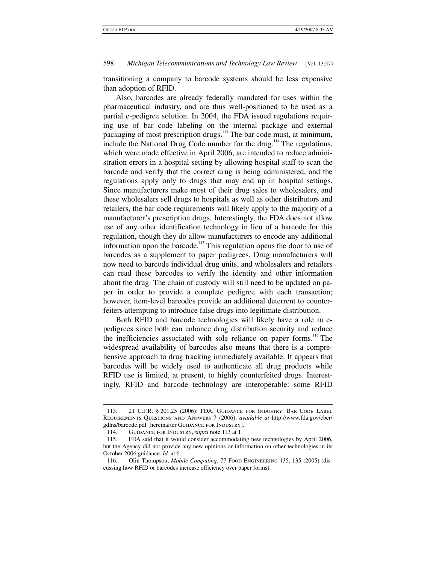transitioning a company to barcode systems should be less expensive than adoption of RFID.

Also, barcodes are already federally mandated for uses within the pharmaceutical industry, and are thus well-positioned to be used as a partial e-pedigree solution. In 2004, the FDA issued regulations requiring use of bar code labeling on the internal package and external packaging of most prescription drugs.<sup>113</sup> The bar code must, at minimum, include the National Drug Code number for the drug.<sup>114</sup> The regulations, which were made effective in April 2006, are intended to reduce administration errors in a hospital setting by allowing hospital staff to scan the barcode and verify that the correct drug is being administered, and the regulations apply only to drugs that may end up in hospital settings. Since manufacturers make most of their drug sales to wholesalers, and these wholesalers sell drugs to hospitals as well as other distributors and retailers, the bar code requirements will likely apply to the majority of a manufacturer's prescription drugs. Interestingly, the FDA does not allow use of any other identification technology in lieu of a barcode for this regulation, though they do allow manufacturers to encode any additional information upon the barcode.<sup>115</sup> This regulation opens the door to use of barcodes as a supplement to paper pedigrees. Drug manufacturers will now need to barcode individual drug units, and wholesalers and retailers can read these barcodes to verify the identity and other information about the drug. The chain of custody will still need to be updated on paper in order to provide a complete pedigree with each transaction; however, item-level barcodes provide an additional deterrent to counterfeiters attempting to introduce false drugs into legitimate distribution.

Both RFID and barcode technologies will likely have a role in epedigrees since both can enhance drug distribution security and reduce the inefficiencies associated with sole reliance on paper forms.<sup>116</sup> The widespread availability of barcodes also means that there is a comprehensive approach to drug tracking immediately available. It appears that barcodes will be widely used to authenticate all drug products while RFID use is limited, at present, to highly counterfeited drugs. Interestingly, RFID and barcode technology are interoperable: some RFID

 $\ddot{\phantom{a}}$ 

 <sup>113. 21</sup> C.F.R. § 201.25 (2006); FDA, Guidance for Industry: Bar Code Label Requirements Questions and Answers 7 (2006), *available at* http://www.fda.gov/cber/ gdlns/barcode.pdf [hereinafter GUIDANCE FOR INDUSTRY].

 <sup>114.</sup> Guidance for Industry, *supra* note 113 at 1.

 <sup>115.</sup> FDA said that it would consider accommodating new technologies by April 2006, but the Agency did not provide any new opinions or information on other technologies in its October 2006 guidance. *Id.* at 6.

 <sup>116.</sup> Olin Thompson, *Mobile Computing*, 77 Food Engineering 135, 135 (2005) (discussing how RFID or barcodes increase efficiency over paper forms).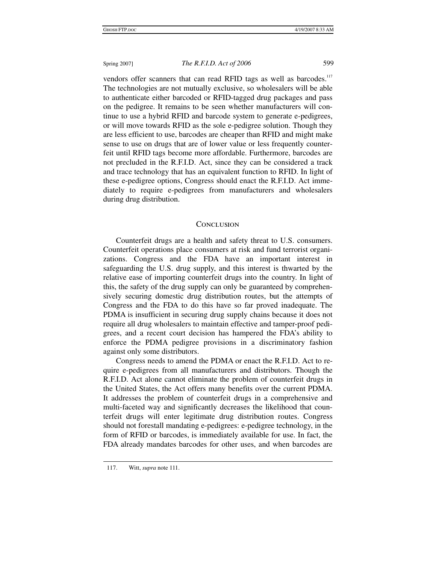vendors offer scanners that can read RFID tags as well as barcodes.<sup>117</sup> The technologies are not mutually exclusive, so wholesalers will be able to authenticate either barcoded or RFID-tagged drug packages and pass on the pedigree. It remains to be seen whether manufacturers will continue to use a hybrid RFID and barcode system to generate e-pedigrees, or will move towards RFID as the sole e-pedigree solution. Though they are less efficient to use, barcodes are cheaper than RFID and might make sense to use on drugs that are of lower value or less frequently counterfeit until RFID tags become more affordable. Furthermore, barcodes are not precluded in the R.F.I.D. Act, since they can be considered a track and trace technology that has an equivalent function to RFID. In light of these e-pedigree options, Congress should enact the R.F.I.D. Act immediately to require e-pedigrees from manufacturers and wholesalers during drug distribution.

### **CONCLUSION**

Counterfeit drugs are a health and safety threat to U.S. consumers. Counterfeit operations place consumers at risk and fund terrorist organizations. Congress and the FDA have an important interest in safeguarding the U.S. drug supply, and this interest is thwarted by the relative ease of importing counterfeit drugs into the country. In light of this, the safety of the drug supply can only be guaranteed by comprehensively securing domestic drug distribution routes, but the attempts of Congress and the FDA to do this have so far proved inadequate. The PDMA is insufficient in securing drug supply chains because it does not require all drug wholesalers to maintain effective and tamper-proof pedigrees, and a recent court decision has hampered the FDA's ability to enforce the PDMA pedigree provisions in a discriminatory fashion against only some distributors.

Congress needs to amend the PDMA or enact the R.F.I.D. Act to require e-pedigrees from all manufacturers and distributors. Though the R.F.I.D. Act alone cannot eliminate the problem of counterfeit drugs in the United States, the Act offers many benefits over the current PDMA. It addresses the problem of counterfeit drugs in a comprehensive and multi-faceted way and significantly decreases the likelihood that counterfeit drugs will enter legitimate drug distribution routes. Congress should not forestall mandating e-pedigrees: e-pedigree technology, in the form of RFID or barcodes, is immediately available for use. In fact, the FDA already mandates barcodes for other uses, and when barcodes are

 <sup>117.</sup> Witt, *supra* note 111.